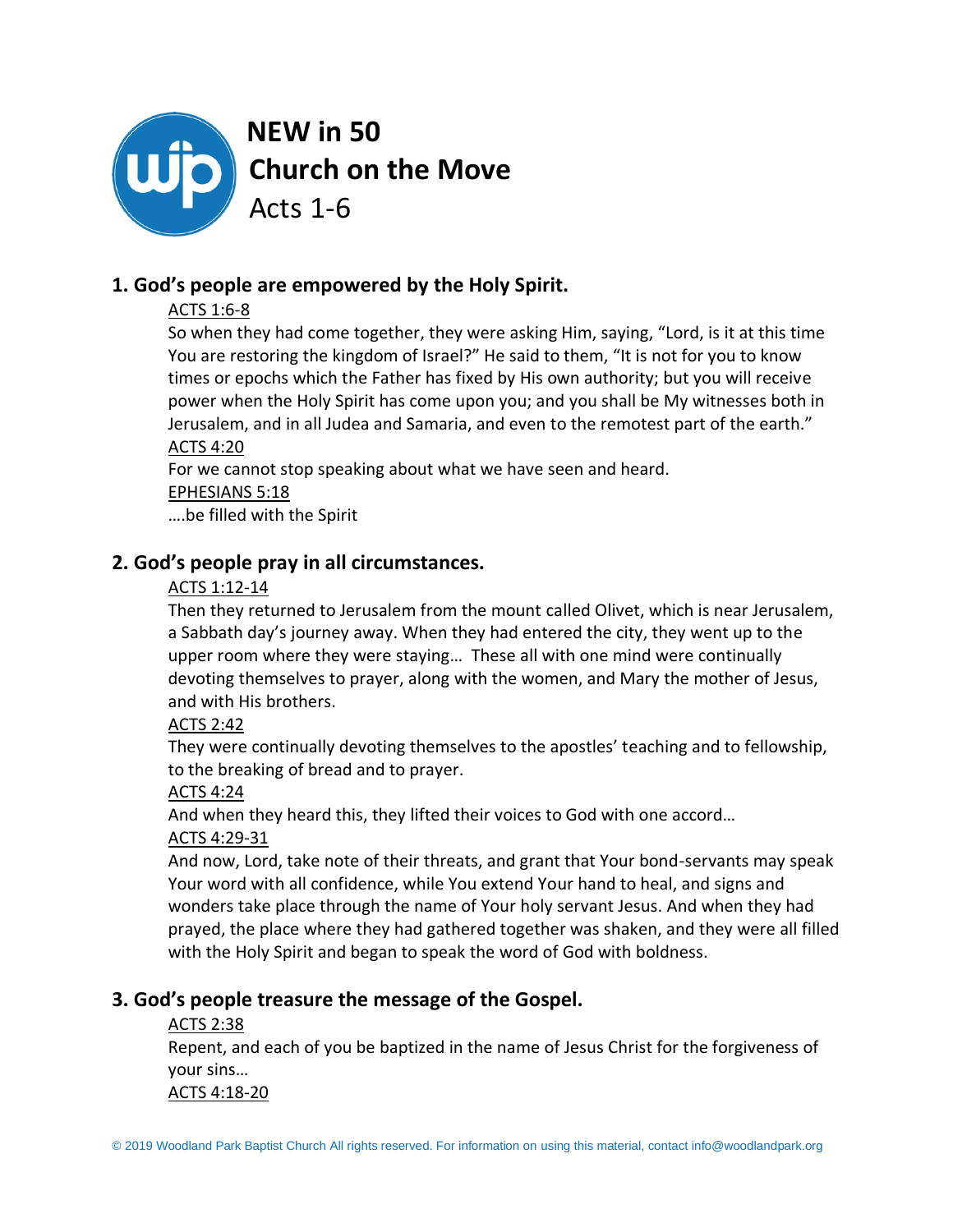

# **1. God's people are empowered by the Holy Spirit.**

### ACTS 1:6-8

So when they had come together, they were asking Him, saying, "Lord, is it at this time You are restoring the kingdom of Israel?" He said to them, "It is not for you to know times or epochs which the Father has fixed by His own authority; but you will receive power when the Holy Spirit has come upon you; and you shall be My witnesses both in Jerusalem, and in all Judea and Samaria, and even to the remotest part of the earth."

## ACTS 4:20

For we cannot stop speaking about what we have seen and heard.

#### EPHESIANS 5:18

….be filled with the Spirit

## **2. God's people pray in all circumstances.**

### ACTS 1:12-14

Then they returned to Jerusalem from the mount called Olivet, which is near Jerusalem, a Sabbath day's journey away. When they had entered the city, they went up to the upper room where they were staying… These all with one mind were continually devoting themselves to prayer, along with the women, and Mary the mother of Jesus, and with His brothers.

### ACTS 2:42

They were continually devoting themselves to the apostles' teaching and to fellowship, to the breaking of bread and to prayer.

### ACTS 4:24

And when they heard this, they lifted their voices to God with one accord…

## ACTS 4:29-31

And now, Lord, take note of their threats, and grant that Your bond-servants may speak Your word with all confidence, while You extend Your hand to heal, and signs and wonders take place through the name of Your holy servant Jesus. And when they had prayed, the place where they had gathered together was shaken, and they were all filled with the Holy Spirit and began to speak the word of God with boldness.

## **3. God's people treasure the message of the Gospel.**

### ACTS 2:38

Repent, and each of you be baptized in the name of Jesus Christ for the forgiveness of your sins…

ACTS 4:18-20